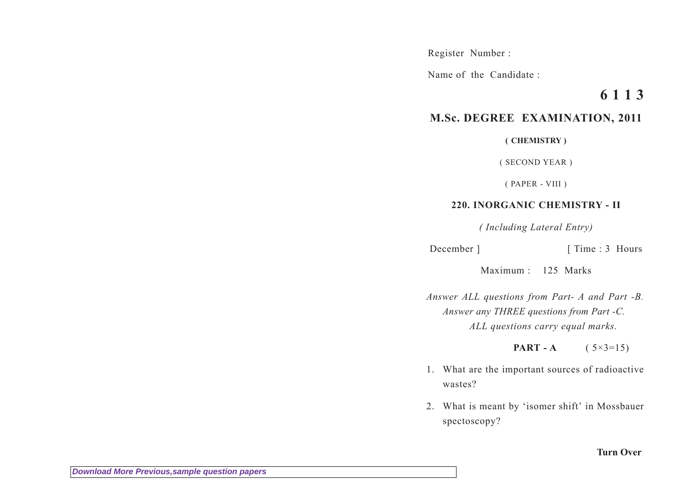Register Number :

Name of the Candidate :

## **6 1 1 3**

## **M.Sc. DEGREE EXAMINATION, 2011**

**( CHEMISTRY )**

( SECOND YEAR )

( PAPER - VIII )

## **220. INORGANIC CHEMISTRY - II**

*( Including Lateral Entry)*

December ] [ Time : 3 Hours

Maximum : 125 Marks

*Answer ALL questions from Part- A and Part -B. Answer any THREE questions from Part -C. ALL questions carry equal marks.*

**PART - A** (  $5 \times 3 = 15$ )

- 1. What are the important sources of radioactive wastes?
- 2. What is meant by 'isomer shift' in Mossbauer spectoscopy?

**Turn Over**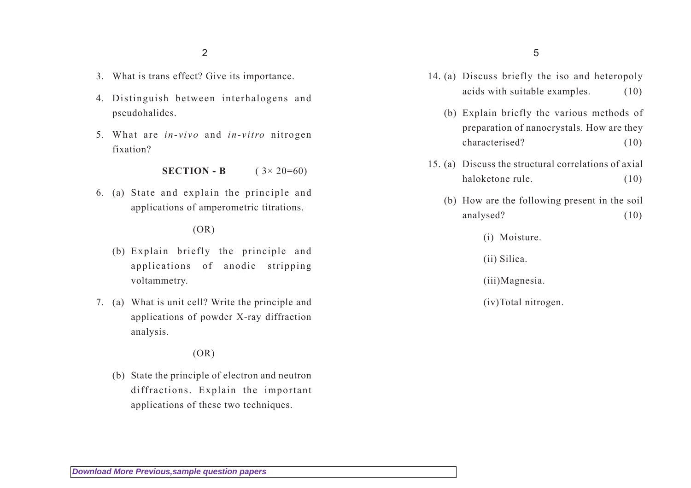2

- 3. What is trans effect? Give its importance.
- 4. Distinguish between interhalogens and pseudohalides.
- 5. What are *in-vivo* and *in-vitro* nitrogen fixation?

**SECTION - B**  $(3 \times 20=60)$ 

6. (a) State and explain the principle and applications of amperometric titrations.

## $(OR)$

- (b) Explain briefly the principle and applications of anodic stripping voltammetry.
- 7. (a) What is unit cell? Write the principle and applications of powder X-ray diffraction analysis.

(OR)

(b) State the principle of electron and neutron diffractions. Explain the important applications of these two techniques.

- 14. (a) Discuss briefly the iso and heteropoly acids with suitable examples. (10)
	- (b) Explain briefly the various methods of preparation of nanocrystals. How are they characterised? (10)
- 15. (a) Discuss the structural correlations of axial haloketone rule. (10)
	- (b) How are the following present in the soil analysed? (10)

(i) Moisture.

(ii) Silica.

(iii)Magnesia.

(iv)Total nitrogen.